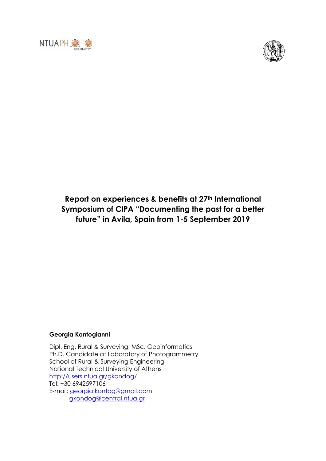



## **Report on experiences & benefits at 27th International Symposium of CIPA "Documenting the past for a better future" in Avila, Spain from 1-5 September 2019**

## **Georgia Kontogianni**

Dipl. Eng. Rural & Surveying, MSc. Geoinformatics Ph.D. Candidate at Laboratory of Photogrammetry School of Rural & Surveying Engineering National Technical University of Athens <http://users.ntua.gr/gkondog/> Tel: +30 6942597106 E-mail: [georgia.kontog@gmail.com](mailto:georgia.kontog@gmail.com) [gkondog@central.ntua.gr](mailto:gkondog@central.ntua.gr)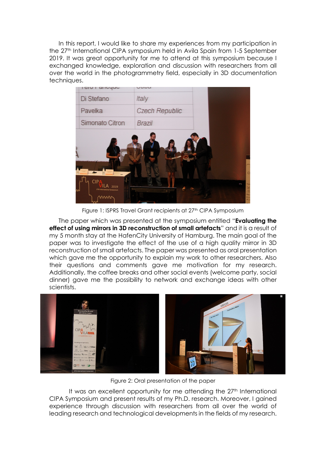In this report, I would like to share my experiences from my participation in the 27<sup>th</sup> International CIPA symposium held in Avila Spain from 1-5 September 2019. It was great opportunity for me to attend at this symposium because I exchanged knowledge, exploration and discussion with researchers from all over the world in the photogrammetry field, especially in 3D documentation techniques.



Figure 1: ISPRS Travel Grant recipients at 27<sup>th</sup> CIPA Symposium

The paper which was presented at the symposium entitled "**Evaluating the effect of using mirrors in 3D reconstruction of small artefacts**" and it is a result of my 5 month stay at the HafenCity University of Hamburg. The main goal of the paper was to investigate the effect of the use of a high quality mirror in 3D reconstruction of small artefacts. The paper was presented as oral presentation which gave me the opportunity to explain my work to other researchers. Also their questions and comments gave me motivation for my research. Additionally, the coffee breaks and other social events (welcome party, social dinner) gave me the possibility to network and exchange ideas with other scientists.



Figure 2: Oral presentation of the paper

It was an excellent opportunity for me attending the 27<sup>th</sup> International CIPA Symposium and present results of my Ph.D. research. Moreover, I gained experience through discussion with researchers from all over the world of leading research and technological developments in the fields of my research.